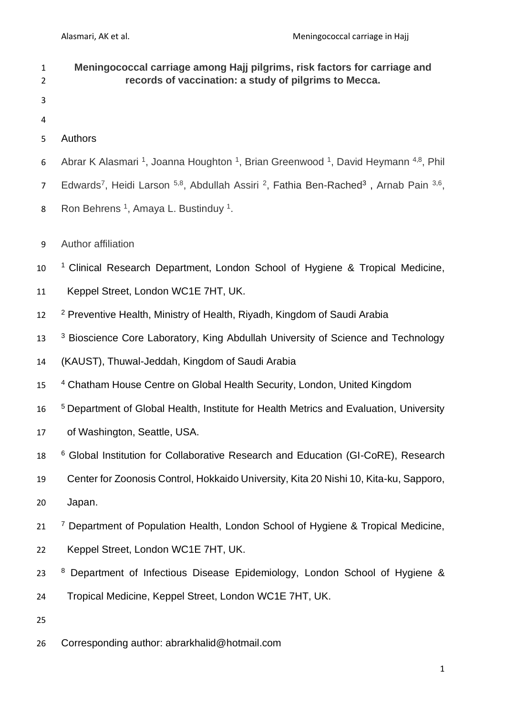| $\mathbf{1}$<br>$\overline{2}$ | Meningococcal carriage among Hajj pilgrims, risk factors for carriage and<br>records of vaccination: a study of pilgrims to Mecca.               |
|--------------------------------|--------------------------------------------------------------------------------------------------------------------------------------------------|
| 3                              |                                                                                                                                                  |
| 4                              |                                                                                                                                                  |
| 5                              | <b>Authors</b>                                                                                                                                   |
| 6                              | Abrar K Alasmari <sup>1</sup> , Joanna Houghton <sup>1</sup> , Brian Greenwood <sup>1</sup> , David Heymann <sup>4,8</sup> , Phil                |
| $\overline{7}$                 | Edwards <sup>7</sup> , Heidi Larson <sup>5,8</sup> , Abdullah Assiri <sup>2</sup> , Fathia Ben-Rached <sup>3</sup> , Arnab Pain <sup>3,6</sup> , |
| 8                              | Ron Behrens <sup>1</sup> , Amaya L. Bustinduy <sup>1</sup> .                                                                                     |
| 9                              | Author affiliation                                                                                                                               |
| 10                             | <sup>1</sup> Clinical Research Department, London School of Hygiene & Tropical Medicine,                                                         |
| 11                             | Keppel Street, London WC1E 7HT, UK.                                                                                                              |
| 12                             | <sup>2</sup> Preventive Health, Ministry of Health, Riyadh, Kingdom of Saudi Arabia                                                              |
| 13                             | <sup>3</sup> Bioscience Core Laboratory, King Abdullah University of Science and Technology                                                      |
| 14                             | (KAUST), Thuwal-Jeddah, Kingdom of Saudi Arabia                                                                                                  |
| 15                             | <sup>4</sup> Chatham House Centre on Global Health Security, London, United Kingdom                                                              |
| 16                             | <sup>5</sup> Department of Global Health, Institute for Health Metrics and Evaluation, University                                                |
| 17                             | of Washington, Seattle, USA.                                                                                                                     |
| 18                             | <sup>6</sup> Global Institution for Collaborative Research and Education (GI-CoRE), Research                                                     |
| 19                             | Center for Zoonosis Control, Hokkaido University, Kita 20 Nishi 10, Kita-ku, Sapporo,                                                            |
| 20                             | Japan.                                                                                                                                           |
| 21                             | <sup>7</sup> Department of Population Health, London School of Hygiene & Tropical Medicine,                                                      |
| 22                             | Keppel Street, London WC1E 7HT, UK.                                                                                                              |
| 23                             | Department of Infectious Disease Epidemiology, London School of Hygiene &<br>8                                                                   |
| 24                             | Tropical Medicine, Keppel Street, London WC1E 7HT, UK.                                                                                           |
| 25                             |                                                                                                                                                  |
| 26                             | Corresponding author: abrarkhalid@hotmail.com                                                                                                    |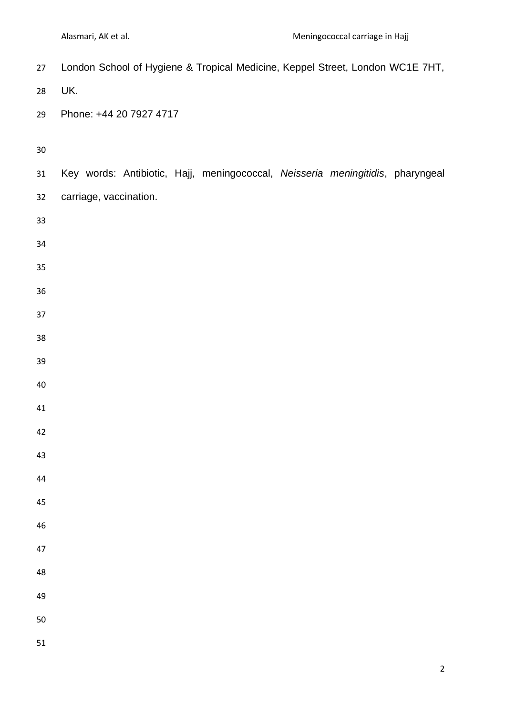| 27     | London School of Hygiene & Tropical Medicine, Keppel Street, London WC1E 7HT,  |  |  |  |
|--------|--------------------------------------------------------------------------------|--|--|--|
| 28     | UK.                                                                            |  |  |  |
| 29     | Phone: +44 20 7927 4717                                                        |  |  |  |
|        |                                                                                |  |  |  |
| $30\,$ |                                                                                |  |  |  |
| 31     | Key words: Antibiotic, Hajj, meningococcal, Neisseria meningitidis, pharyngeal |  |  |  |
| 32     | carriage, vaccination.                                                         |  |  |  |
| 33     |                                                                                |  |  |  |
| 34     |                                                                                |  |  |  |
| 35     |                                                                                |  |  |  |
| 36     |                                                                                |  |  |  |
| 37     |                                                                                |  |  |  |
| 38     |                                                                                |  |  |  |
| 39     |                                                                                |  |  |  |
| 40     |                                                                                |  |  |  |
| 41     |                                                                                |  |  |  |
| 42     |                                                                                |  |  |  |
| 43     |                                                                                |  |  |  |
| 44     |                                                                                |  |  |  |
| 45     |                                                                                |  |  |  |
| 46     |                                                                                |  |  |  |
| 47     |                                                                                |  |  |  |
| 48     |                                                                                |  |  |  |
| 49     |                                                                                |  |  |  |
| 50     |                                                                                |  |  |  |
| 51     |                                                                                |  |  |  |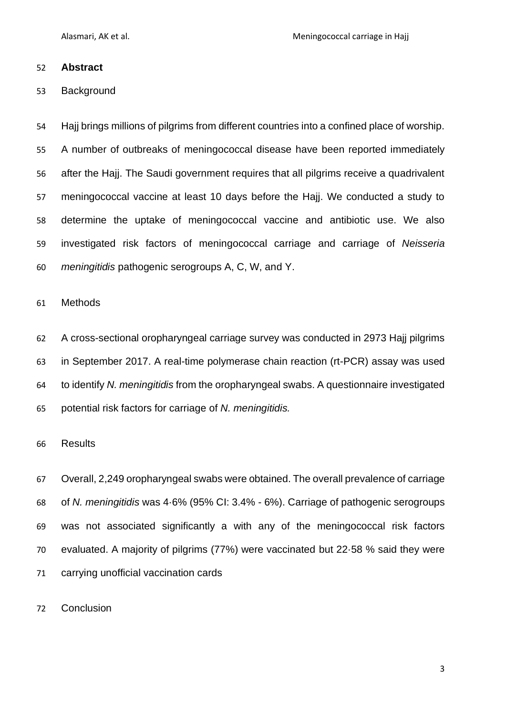Alasmari, AK et al. Meningococcal carriage in Hajj

#### **Abstract**

#### Background

 Hajj brings millions of pilgrims from different countries into a confined place of worship. A number of outbreaks of meningococcal disease have been reported immediately after the Hajj. The Saudi government requires that all pilgrims receive a quadrivalent meningococcal vaccine at least 10 days before the Hajj. We conducted a study to determine the uptake of meningococcal vaccine and antibiotic use. We also investigated risk factors of meningococcal carriage and carriage of *Neisseria meningitidis* pathogenic serogroups A, C, W, and Y.

#### Methods

 A cross-sectional oropharyngeal carriage survey was conducted in 2973 Hajj pilgrims in September 2017. A real-time polymerase chain reaction (rt-PCR) assay was used to identify *N. meningitidis* from the oropharyngeal swabs. A questionnaire investigated potential risk factors for carriage of *N. meningitidis.*

#### Results

 Overall, 2,249 oropharyngeal swabs were obtained. The overall prevalence of carriage of *N. meningitidis* was 4·6% (95% CI: 3.4% - 6%). Carriage of pathogenic serogroups was not associated significantly a with any of the meningococcal risk factors evaluated. A majority of pilgrims (77%) were vaccinated but 22·58 % said they were carrying unofficial vaccination cards

Conclusion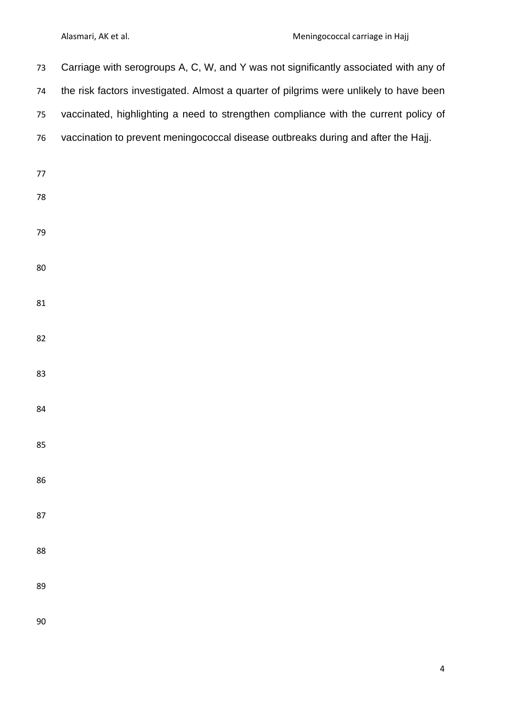| 73 | Carriage with serogroups A, C, W, and Y was not significantly associated with any of   |
|----|----------------------------------------------------------------------------------------|
| 74 | the risk factors investigated. Almost a quarter of pilgrims were unlikely to have been |
| 75 | vaccinated, highlighting a need to strengthen compliance with the current policy of    |
| 76 | vaccination to prevent meningococcal disease outbreaks during and after the Hajj.      |
| 77 |                                                                                        |
| 78 |                                                                                        |
|    |                                                                                        |
| 79 |                                                                                        |
| 80 |                                                                                        |
|    |                                                                                        |
| 81 |                                                                                        |
| 82 |                                                                                        |
|    |                                                                                        |
| 83 |                                                                                        |
| 84 |                                                                                        |
|    |                                                                                        |
| 85 |                                                                                        |
| 86 |                                                                                        |
| 87 |                                                                                        |
|    |                                                                                        |
| 88 |                                                                                        |
| 89 |                                                                                        |
|    |                                                                                        |
| 90 |                                                                                        |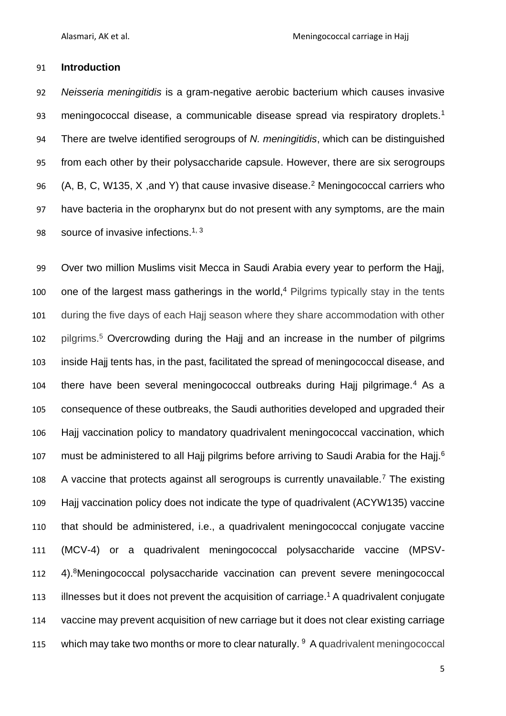#### **Introduction**

 *Neisseria meningitidis* is a gram-negative aerobic bacterium which causes invasive 93 meningococcal disease, a communicable disease spread via respiratory droplets.<sup>1</sup> There are twelve identified serogroups of *N. meningitidis*, which can be distinguished from each other by their polysaccharide capsule. However, there are six serogroups 96 (A, B, C, W135, X, and Y) that cause invasive disease.<sup>2</sup> Meningococcal carriers who have bacteria in the oropharynx but do not present with any symptoms, are the main 98 source of invasive infections. $1, 3$ 

 Over two million Muslims visit Mecca in Saudi Arabia every year to perform the Hajj, one of the largest mass gatherings in the world,<sup>4</sup> Pilgrims typically stay in the tents during the five days of each Hajj season where they share accommodation with other 102 pilgrims.<sup>5</sup> Overcrowding during the Hajj and an increase in the number of pilgrims inside Hajj tents has, in the past, facilitated the spread of meningococcal disease, and 104 there have been several meningococcal outbreaks during Hajj pilgrimage.<sup>4</sup> As a consequence of these outbreaks, the Saudi authorities developed and upgraded their Hajj vaccination policy to mandatory quadrivalent meningococcal vaccination, which nor must be administered to all Hajj pilgrims before arriving to Saudi Arabia for the Hajj.<sup>6</sup> 108 A vaccine that protects against all serogroups is currently unavailable.<sup>7</sup> The existing Hajj vaccination policy does not indicate the type of quadrivalent (ACYW135) vaccine that should be administered, i.e., a quadrivalent meningococcal conjugate vaccine (MCV-4) or a quadrivalent meningococcal polysaccharide vaccine (MPSV-112 4). <sup>8</sup>Meningococcal polysaccharide vaccination can prevent severe meningococcal 113 illnesses but it does not prevent the acquisition of carriage.<sup>1</sup> A quadrivalent conjugate vaccine may prevent acquisition of new carriage but it does not clear existing carriage 115 which may take two months or more to clear naturally. A quadrivalent meningococcal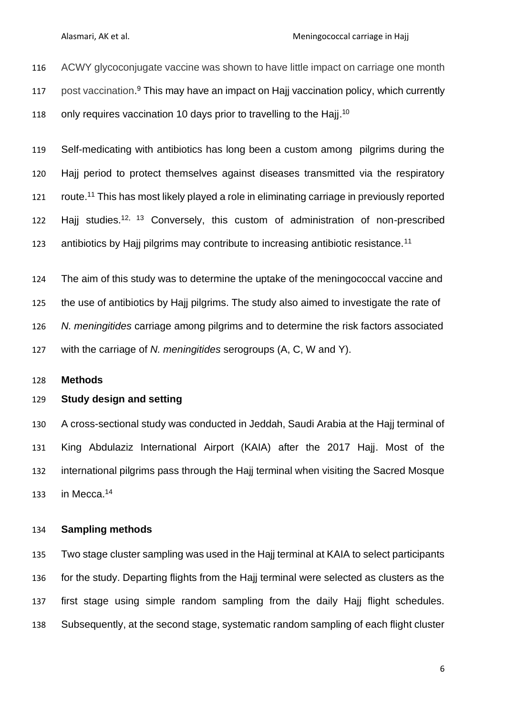Alasmari, AK et al. Meningococcal carriage in Hajj

 ACWY glycoconjugate vaccine was shown to have little impact on carriage one month 117 post vaccination.<sup>9</sup> This may have an impact on Hajj vaccination policy, which currently 118 only requires vaccination 10 days prior to travelling to the Hajj.<sup>10</sup>

 Self-medicating with antibiotics has long been a custom among pilgrims during the Hajj period to protect themselves against diseases transmitted via the respiratory 121 route.<sup>11</sup> This has most likely played a role in eliminating carriage in previously reported 122 Hajj studies.<sup>12, 13</sup> Conversely, this custom of administration of non-prescribed antibiotics by Hajj pilgrims may contribute to increasing antibiotic resistance.<sup>11</sup>

 The aim of this study was to determine the uptake of the meningococcal vaccine and the use of antibiotics by Hajj pilgrims. The study also aimed to investigate the rate of *N. meningitides* carriage among pilgrims and to determine the risk factors associated with the carriage of *N. meningitides* serogroups (A, C, W and Y).

#### **Methods**

#### **Study design and setting**

 A cross-sectional study was conducted in Jeddah, Saudi Arabia at the Hajj terminal of King Abdulaziz International Airport (KAIA) after the 2017 Hajj. Most of the international pilgrims pass through the Hajj terminal when visiting the Sacred Mosque 133 in Mecca.

#### **Sampling methods**

 Two stage cluster sampling was used in the Hajj terminal at KAIA to select participants for the study. Departing flights from the Hajj terminal were selected as clusters as the first stage using simple random sampling from the daily Hajj flight schedules. Subsequently, at the second stage, systematic random sampling of each flight cluster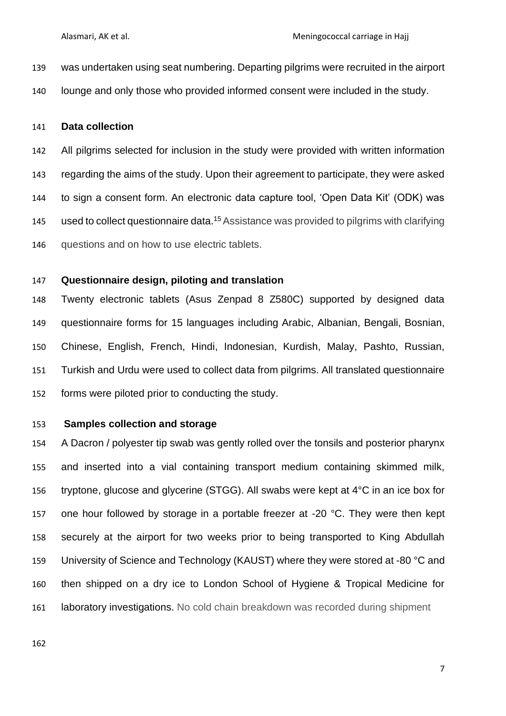- was undertaken using seat numbering. Departing pilgrims were recruited in the airport
- lounge and only those who provided informed consent were included in the study.

#### **Data collection**

 All pilgrims selected for inclusion in the study were provided with written information regarding the aims of the study. Upon their agreement to participate, they were asked to sign a consent form. An electronic data capture tool, 'Open Data Kit' (ODK) was 145 used to collect questionnaire data.<sup>15</sup> Assistance was provided to pilgrims with clarifying questions and on how to use electric tablets.

#### **Questionnaire design, piloting and translation**

 Twenty electronic tablets (Asus Zenpad 8 Z580C) supported by designed data questionnaire forms for 15 languages including Arabic, Albanian, Bengali, Bosnian, Chinese, English, French, Hindi, Indonesian, Kurdish, Malay, Pashto, Russian, Turkish and Urdu were used to collect data from pilgrims. All translated questionnaire forms were piloted prior to conducting the study.

#### **Samples collection and storage**

 A Dacron / polyester tip swab was gently rolled over the tonsils and posterior pharynx and inserted into a vial containing transport medium containing skimmed milk, tryptone, glucose and glycerine (STGG). All swabs were kept at 4°C in an ice box for 157 one hour followed by storage in a portable freezer at -20  $^{\circ}$ C. They were then kept securely at the airport for two weeks prior to being transported to King Abdullah 159 University of Science and Technology (KAUST) where they were stored at -80 °C and then shipped on a dry ice to London School of Hygiene & Tropical Medicine for laboratory investigations. No cold chain breakdown was recorded during shipment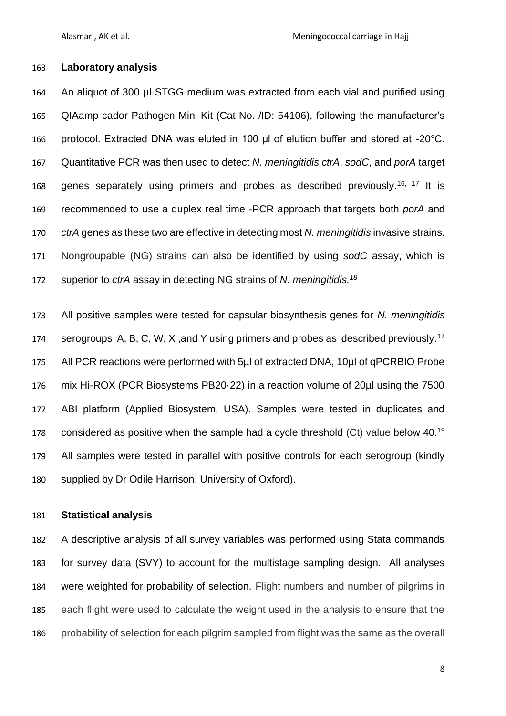#### **Laboratory analysis**

 An aliquot of 300 μl STGG medium was extracted from each vial and purified using QIAamp cador Pathogen Mini Kit (Cat No. /ID: 54106), following the manufacturer's protocol. Extracted DNA was eluted in 100 μl of elution buffer and stored at -20°C. Quantitative PCR was then used to detect *N. meningitidis ctrA*, *sodC*, and *porA* target 168 genes separately using primers and probes as described previously.<sup>16, 17</sup> It is recommended to use a duplex real time -PCR approach that targets both *porA* and *ctrA* genes as these two are effective in detecting most *N. meningitidis* invasive strains. Nongroupable (NG) strains can also be identified by using *sodC* assay, which is superior to *ctrA* assay in detecting NG strains of *N. meningitidis.<sup>18</sup>*

 All positive samples were tested for capsular biosynthesis genes for *N. meningitidis* serogroups A, B, C, W, X, and Y using primers and probes as described previously.<sup>17</sup> All PCR reactions were performed with 5µl of extracted DNA, 10µl of qPCRBIO Probe mix Hi-ROX (PCR Biosystems PB20·22) in a reaction volume of 20µl using the 7500 ABI platform (Applied Biosystem, USA). Samples were tested in duplicates and 178 considered as positive when the sample had a cycle threshold  $(Ct)$  value below 40.<sup>19</sup> All samples were tested in parallel with positive controls for each serogroup (kindly supplied by Dr Odile Harrison, University of Oxford).

#### **Statistical analysis**

 A descriptive analysis of all survey variables was performed using Stata commands for survey data (SVY) to account for the multistage sampling design. All analyses were weighted for probability of selection. Flight numbers and number of pilgrims in each flight were used to calculate the weight used in the analysis to ensure that the probability of selection for each pilgrim sampled from flight was the same as the overall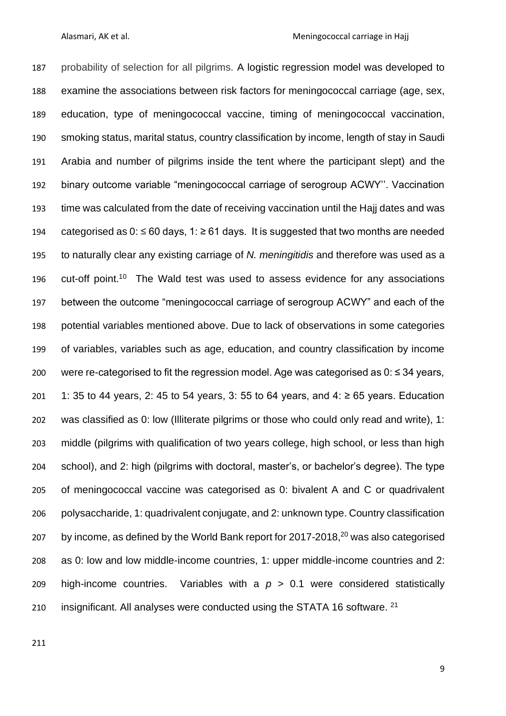probability of selection for all pilgrims. A logistic regression model was developed to examine the associations between risk factors for meningococcal carriage (age, sex, education, type of meningococcal vaccine, timing of meningococcal vaccination, smoking status, marital status, country classification by income, length of stay in Saudi Arabia and number of pilgrims inside the tent where the participant slept) and the binary outcome variable "meningococcal carriage of serogroup ACWY''. Vaccination time was calculated from the date of receiving vaccination until the Hajj dates and was 194 categorised as 0: ≤ 60 days, 1: ≥ 61 days. It is suggested that two months are needed to naturally clear any existing carriage of *N. meningitidis* and therefore was used as a 196 cut-off point.<sup>10</sup> The Wald test was used to assess evidence for any associations between the outcome "meningococcal carriage of serogroup ACWY" and each of the potential variables mentioned above. Due to lack of observations in some categories of variables, variables such as age, education, and country classification by income were re-categorised to fit the regression model. Age was categorised as 0: ≤ 34 years, 201 1: 35 to 44 years, 2: 45 to 54 years, 3: 55 to 64 years, and 4:  $\geq$  65 years. Education was classified as 0: low (Illiterate pilgrims or those who could only read and write), 1: middle (pilgrims with qualification of two years college, high school, or less than high school), and 2: high (pilgrims with doctoral, master's, or bachelor's degree). The type of meningococcal vaccine was categorised as 0: bivalent A and C or quadrivalent polysaccharide, 1: quadrivalent conjugate, and 2: unknown type. Country classification 207 by income, as defined by the World Bank report for  $2017-2018$ ,  $207$  was also categorised as 0: low and low middle-income countries, 1: upper middle-income countries and 2: 209 high-income countries. Variables with a  $p > 0.1$  were considered statistically 210 insignificant. All analyses were conducted using the STATA 16 software.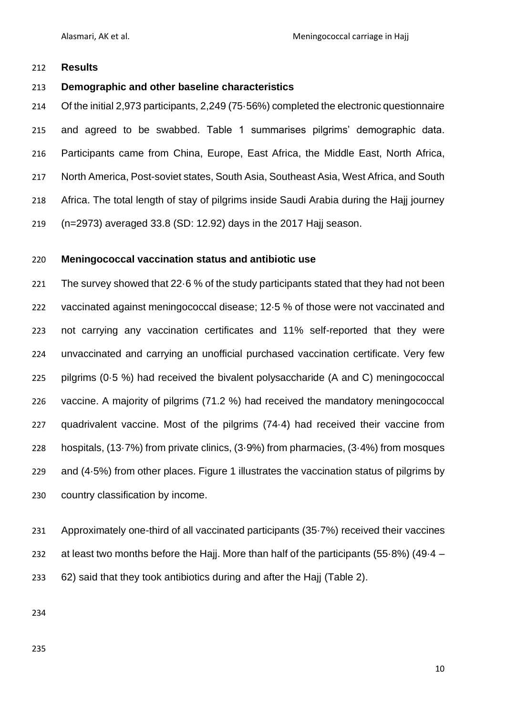#### **Results**

#### **Demographic and other baseline characteristics**

 Of the initial 2,973 participants, 2,249 (75·56%) completed the electronic questionnaire and agreed to be swabbed. Table 1 summarises pilgrims' demographic data. Participants came from China, Europe, East Africa, the Middle East, North Africa, North America, Post-soviet states, South Asia, Southeast Asia, West Africa, and South Africa. The total length of stay of pilgrims inside Saudi Arabia during the Hajj journey (n=2973) averaged 33.8 (SD: 12.92) days in the 2017 Hajj season.

#### **Meningococcal vaccination status and antibiotic use**

 The survey showed that 22·6 % of the study participants stated that they had not been vaccinated against meningococcal disease; 12·5 % of those were not vaccinated and not carrying any vaccination certificates and 11% self-reported that they were unvaccinated and carrying an unofficial purchased vaccination certificate. Very few pilgrims (0·5 %) had received the bivalent polysaccharide (A and C) meningococcal vaccine. A majority of pilgrims (71.2 %) had received the mandatory meningococcal quadrivalent vaccine. Most of the pilgrims (74·4) had received their vaccine from hospitals, (13·7%) from private clinics, (3·9%) from pharmacies, (3·4%) from mosques and (4·5%) from other places. Figure 1 illustrates the vaccination status of pilgrims by country classification by income.

 Approximately one-third of all vaccinated participants (35·7%) received their vaccines at least two months before the Hajj. More than half of the participants (55·8%) (49·4 – 62) said that they took antibiotics during and after the Hajj (Table 2).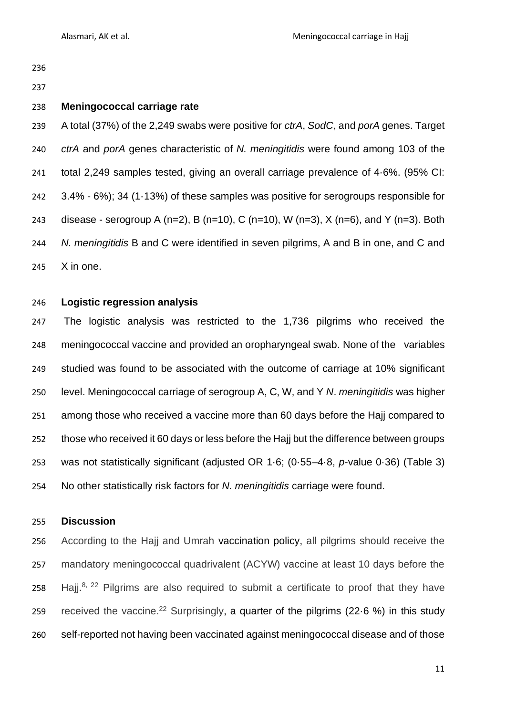#### **Meningococcal carriage rate**

 A total (37%) of the 2,249 swabs were positive for *ctrA*, *SodC*, and *porA* genes. Target *ctrA* and *porA* genes characteristic of *N. meningitidis* were found among 103 of the total 2,249 samples tested, giving an overall carriage prevalence of 4·6%. (95% CI: 3.4% - 6%); 34 (1·13%) of these samples was positive for serogroups responsible for 243 disease - serogroup A (n=2), B (n=10), C (n=10), W (n=3), X (n=6), and Y (n=3). Both *N. meningitidis* B and C were identified in seven pilgrims, A and B in one, and C and X in one.

#### **Logistic regression analysis**

 The logistic analysis was restricted to the 1,736 pilgrims who received the meningococcal vaccine and provided an oropharyngeal swab. None of the variables studied was found to be associated with the outcome of carriage at 10% significant level. Meningococcal carriage of serogroup A, C, W, and Y *N*. *meningitidis* was higher among those who received a vaccine more than 60 days before the Hajj compared to those who received it 60 days or less before the Hajj but the difference between groups was not statistically significant (adjusted OR 1·6; (0·55–4·8, *p*-value 0·36) (Table 3) No other statistically risk factors for *N. meningitidis* carriage were found.

#### **Discussion**

 According to the Hajj and Umrah vaccination policy, all pilgrims should receive the mandatory meningococcal quadrivalent (ACYW) vaccine at least 10 days before the 258 Hajj.<sup>8, 22</sup> Pilgrims are also required to submit a certificate to proof that they have 259 received the vaccine.<sup>22</sup> Surprisingly, a quarter of the pilgrims (22.6 %) in this study self-reported not having been vaccinated against meningococcal disease and of those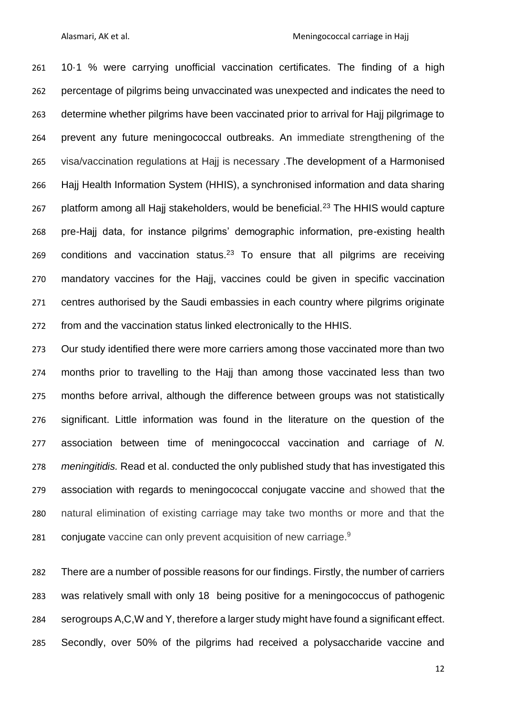10·1 % were carrying unofficial vaccination certificates. The finding of a high percentage of pilgrims being unvaccinated was unexpected and indicates the need to determine whether pilgrims have been vaccinated prior to arrival for Hajj pilgrimage to prevent any future meningococcal outbreaks. An immediate strengthening of the visa/vaccination regulations at Hajj is necessary .The development of a Harmonised Hajj Health Information System (HHIS), a synchronised information and data sharing 267 platform among all Hajj stakeholders, would be beneficial.<sup>23</sup> The HHIS would capture pre-Hajj data, for instance pilgrims' demographic information, pre-existing health conditions and vaccination status.<sup>23</sup> To ensure that all pilgrims are receiving mandatory vaccines for the Hajj, vaccines could be given in specific vaccination centres authorised by the Saudi embassies in each country where pilgrims originate from and the vaccination status linked electronically to the HHIS.

 Our study identified there were more carriers among those vaccinated more than two months prior to travelling to the Hajj than among those vaccinated less than two months before arrival, although the difference between groups was not statistically significant. Little information was found in the literature on the question of the association between time of meningococcal vaccination and carriage of *N. meningitidis.* Read et al. conducted the only published study that has investigated this association with regards to meningococcal conjugate vaccine and showed that the natural elimination of existing carriage may take two months or more and that the 281 conjugate vaccine can only prevent acquisition of new carriage.<sup>9</sup>

 There are a number of possible reasons for our findings. Firstly, the number of carriers was relatively small with only 18 being positive for a meningococcus of pathogenic serogroups A,C,W and Y, therefore a larger study might have found a significant effect. Secondly, over 50% of the pilgrims had received a polysaccharide vaccine and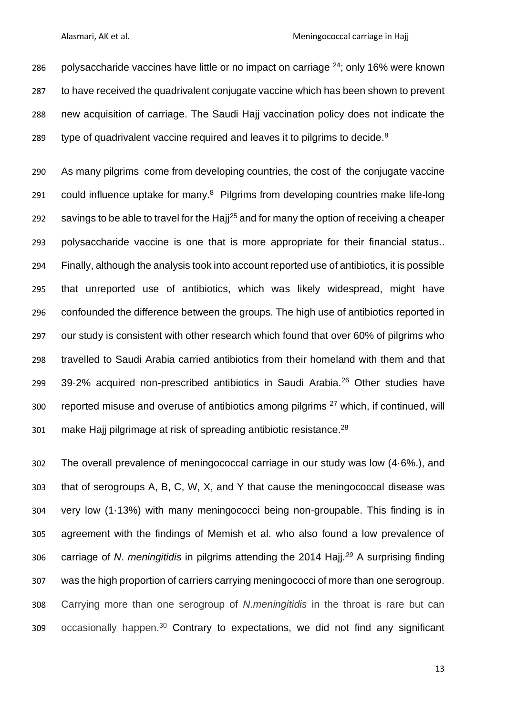286 polysaccharide vaccines have little or no impact on carriage ; only 16% were known to have received the quadrivalent conjugate vaccine which has been shown to prevent new acquisition of carriage. The Saudi Hajj vaccination policy does not indicate the type of quadrivalent vaccine required and leaves it to pilgrims to decide.<sup>8</sup>

 As many pilgrims come from developing countries, the cost of the conjugate vaccine 291 could influence uptake for many.<sup>8</sup> Pilgrims from developing countries make life-long 292 savings to be able to travel for the Hajj<sup>25</sup> and for many the option of receiving a cheaper polysaccharide vaccine is one that is more appropriate for their financial status.. Finally, although the analysis took into account reported use of antibiotics, it is possible that unreported use of antibiotics, which was likely widespread, might have confounded the difference between the groups. The high use of antibiotics reported in our study is consistent with other research which found that over 60% of pilgrims who travelled to Saudi Arabia carried antibiotics from their homeland with them and that 39.2% acquired non-prescribed antibiotics in Saudi Arabia.<sup>26</sup> Other studies have 300 reported misuse and overuse of antibiotics among pilgrims which, if continued, will 301 make Hajj pilgrimage at risk of spreading antibiotic resistance. $^{28}$ 

 The overall prevalence of meningococcal carriage in our study was low (4·6%.), and that of serogroups A, B, C, W, X, and Y that cause the meningococcal disease was very low (1·13%) with many meningococci being non-groupable. This finding is in agreement with the findings of Memish et al. who also found a low prevalence of 306 carriage of *N. meningitidis* in pilgrims attending the 2014 Hajj.<sup>29</sup> A surprising finding was the high proportion of carriers carrying meningococci of more than one serogroup. Carrying more than one serogroup of *N*.*meningitidis* in the throat is rare but can occasionally happen.<sup>30</sup> Contrary to expectations, we did not find any significant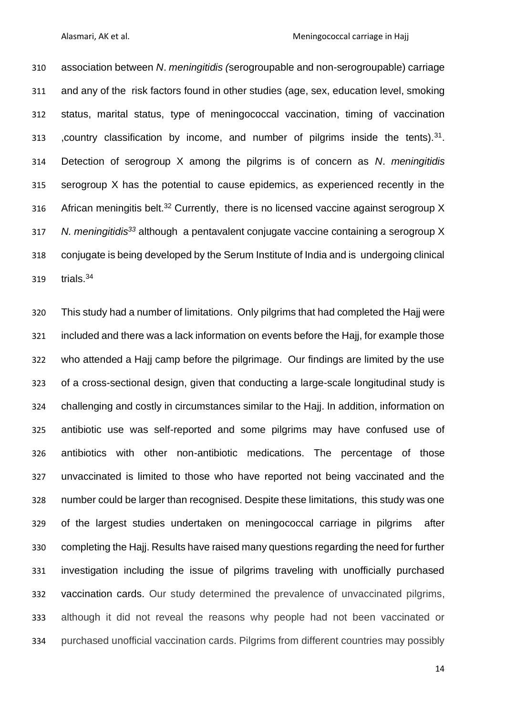association between *N*. *meningitidis (*serogroupable and non-serogroupable) carriage and any of the risk factors found in other studies (age, sex, education level, smoking status, marital status, type of meningococcal vaccination, timing of vaccination 313 , country classification by income, and number of pilgrims inside the tents).<sup>31</sup> Detection of serogroup X among the pilgrims is of concern as *N*. *meningitidis* serogroup X has the potential to cause epidemics, as experienced recently in the 316 African meningitis belt.<sup>32</sup> Currently, there is no licensed vaccine against serogroup X *N. meningitidis<sup>33</sup>* although a pentavalent conjugate vaccine containing a serogroup X conjugate is being developed by the Serum Institute of India and is undergoing clinical  $trials.<sup>34</sup>$ 

 This study had a number of limitations. Only pilgrims that had completed the Hajj were included and there was a lack information on events before the Hajj, for example those who attended a Hajj camp before the pilgrimage. Our findings are limited by the use of a cross-sectional design, given that conducting a large-scale longitudinal study is challenging and costly in circumstances similar to the Hajj. In addition, information on antibiotic use was self-reported and some pilgrims may have confused use of antibiotics with other non-antibiotic medications. The percentage of those unvaccinated is limited to those who have reported not being vaccinated and the number could be larger than recognised. Despite these limitations, this study was one of the largest studies undertaken on meningococcal carriage in pilgrims after completing the Hajj. Results have raised many questions regarding the need for further investigation including the issue of pilgrims traveling with unofficially purchased vaccination cards. Our study determined the prevalence of unvaccinated pilgrims, although it did not reveal the reasons why people had not been vaccinated or purchased unofficial vaccination cards. Pilgrims from different countries may possibly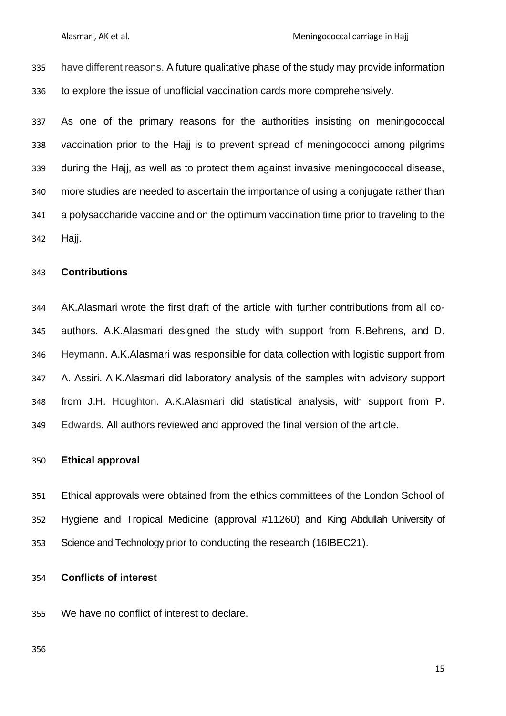have different reasons. A future qualitative phase of the study may provide information to explore the issue of unofficial vaccination cards more comprehensively.

 As one of the primary reasons for the authorities insisting on meningococcal vaccination prior to the Hajj is to prevent spread of meningococci among pilgrims during the Hajj, as well as to protect them against invasive meningococcal disease, more studies are needed to ascertain the importance of using a conjugate rather than a polysaccharide vaccine and on the optimum vaccination time prior to traveling to the Hajj.

#### **Contributions**

 AK.Alasmari wrote the first draft of the article with further contributions from all co- authors. A.K.Alasmari designed the study with support from R.Behrens, and D. Heymann. A.K.Alasmari was responsible for data collection with logistic support from A. Assiri. A.K.Alasmari did laboratory analysis of the samples with advisory support from J.H. Houghton. A.K.Alasmari did statistical analysis, with support from P. Edwards. All authors reviewed and approved the final version of the article.

#### **Ethical approval**

 Ethical approvals were obtained from the ethics committees of the London School of Hygiene and Tropical Medicine (approval #11260) and King Abdullah University of Science and Technology prior to conducting the research (16IBEC21).

#### **Conflicts of interest**

We have no conflict of interest to declare.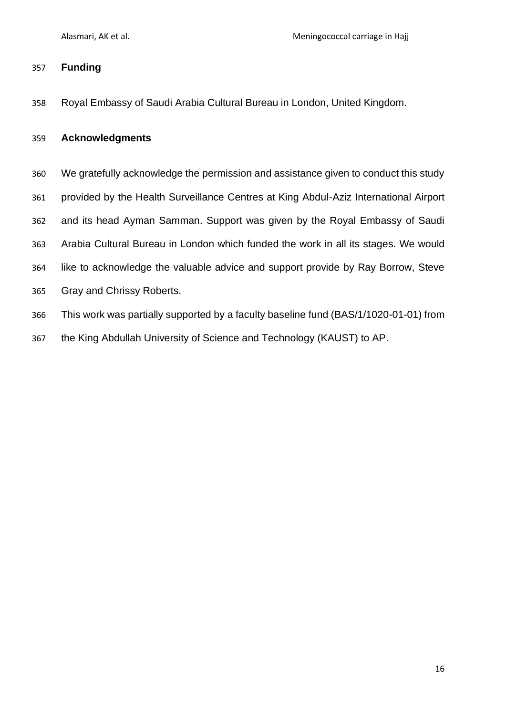## **Funding**

Royal Embassy of Saudi Arabia Cultural Bureau in London, United Kingdom.

#### **Acknowledgments**

- We gratefully acknowledge the permission and assistance given to conduct this study provided by the Health Surveillance Centres at King Abdul-Aziz International Airport and its head Ayman Samman. Support was given by the Royal Embassy of Saudi Arabia Cultural Bureau in London which funded the work in all its stages. We would like to acknowledge the valuable advice and support provide by Ray Borrow, Steve Gray and Chrissy Roberts. This work was partially supported by a faculty baseline fund (BAS/1/1020-01-01) from
- the King Abdullah University of Science and Technology (KAUST) to AP.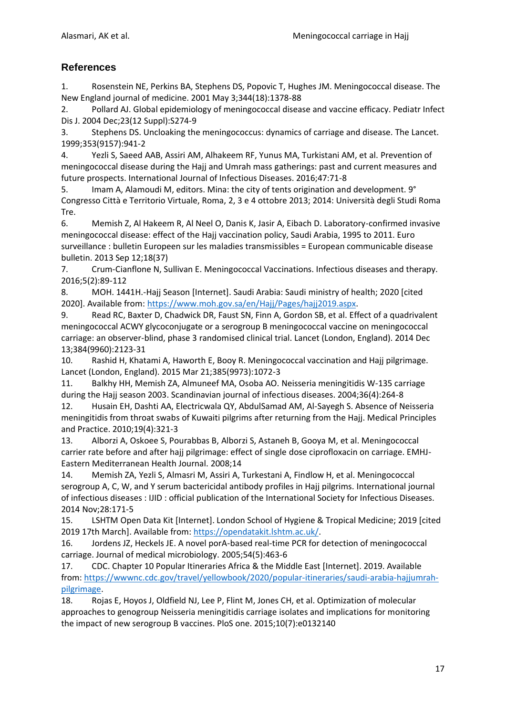### **References**

1. Rosenstein NE, Perkins BA, Stephens DS, Popovic T, Hughes JM. Meningococcal disease. The New England journal of medicine. 2001 May 3;344(18):1378-88

2. Pollard AJ. Global epidemiology of meningococcal disease and vaccine efficacy. Pediatr Infect Dis J. 2004 Dec;23(12 Suppl):S274-9

3. Stephens DS. Uncloaking the meningococcus: dynamics of carriage and disease. The Lancet. 1999;353(9157):941-2

4. Yezli S, Saeed AAB, Assiri AM, Alhakeem RF, Yunus MA, Turkistani AM, et al. Prevention of meningococcal disease during the Hajj and Umrah mass gatherings: past and current measures and future prospects. International Journal of Infectious Diseases. 2016;47:71-8

5. Imam A, Alamoudi M, editors. Mina: the city of tents origination and development. 9° Congresso Città e Territorio Virtuale, Roma, 2, 3 e 4 ottobre 2013; 2014: Università degli Studi Roma Tre.

6. Memish Z, Al Hakeem R, Al Neel O, Danis K, Jasir A, Eibach D. Laboratory-confirmed invasive meningococcal disease: effect of the Hajj vaccination policy, Saudi Arabia, 1995 to 2011. Euro surveillance : bulletin Europeen sur les maladies transmissibles = European communicable disease bulletin. 2013 Sep 12;18(37)

7. Crum-Cianflone N, Sullivan E. Meningococcal Vaccinations. Infectious diseases and therapy. 2016;5(2):89-112

8. MOH. 1441H.-Hajj Season [Internet]. Saudi Arabia: Saudi ministry of health; 2020 [cited 2020]. Available from: [https://www.moh.gov.sa/en/Hajj/Pages/hajj2019.aspx.](https://www.moh.gov.sa/en/Hajj/Pages/hajj2019.aspx)

9. Read RC, Baxter D, Chadwick DR, Faust SN, Finn A, Gordon SB, et al. Effect of a quadrivalent meningococcal ACWY glycoconjugate or a serogroup B meningococcal vaccine on meningococcal carriage: an observer-blind, phase 3 randomised clinical trial. Lancet (London, England). 2014 Dec 13;384(9960):2123-31

10. Rashid H, Khatami A, Haworth E, Booy R. Meningococcal vaccination and Hajj pilgrimage. Lancet (London, England). 2015 Mar 21;385(9973):1072-3

11. Balkhy HH, Memish ZA, Almuneef MA, Osoba AO. Neisseria meningitidis W-135 carriage during the Hajj season 2003. Scandinavian journal of infectious diseases. 2004;36(4):264-8

12. Husain EH, Dashti AA, Electricwala QY, AbdulSamad AM, Al-Sayegh S. Absence of Neisseria meningitidis from throat swabs of Kuwaiti pilgrims after returning from the Hajj. Medical Principles and Practice. 2010;19(4):321-3

13. Alborzi A, Oskoee S, Pourabbas B, Alborzi S, Astaneh B, Gooya M, et al. Meningococcal carrier rate before and after hajj pilgrimage: effect of single dose ciprofloxacin on carriage. EMHJ-Eastern Mediterranean Health Journal. 2008;14

14. Memish ZA, Yezli S, Almasri M, Assiri A, Turkestani A, Findlow H, et al. Meningococcal serogroup A, C, W, and Y serum bactericidal antibody profiles in Hajj pilgrims. International journal of infectious diseases : IJID : official publication of the International Society for Infectious Diseases. 2014 Nov;28:171-5

15. LSHTM Open Data Kit [Internet]. London School of Hygiene & Tropical Medicine; 2019 [cited 2019 17th March]. Available from: [https://opendatakit.lshtm.ac.uk/.](https://opendatakit.lshtm.ac.uk/)

16. Jordens JZ, Heckels JE. A novel porA-based real-time PCR for detection of meningococcal carriage. Journal of medical microbiology. 2005;54(5):463-6

17. CDC. Chapter 10 Popular Itineraries Africa & the Middle East [Internet]. 2019. Available from: [https://wwwnc.cdc.gov/travel/yellowbook/2020/popular-itineraries/saudi-arabia-hajjumrah](https://wwwnc.cdc.gov/travel/yellowbook/2020/popular-itineraries/saudi-arabia-hajjumrah-pilgrimage)[pilgrimage.](https://wwwnc.cdc.gov/travel/yellowbook/2020/popular-itineraries/saudi-arabia-hajjumrah-pilgrimage)

18. Rojas E, Hoyos J, Oldfield NJ, Lee P, Flint M, Jones CH, et al. Optimization of molecular approaches to genogroup Neisseria meningitidis carriage isolates and implications for monitoring the impact of new serogroup B vaccines. PloS one. 2015;10(7):e0132140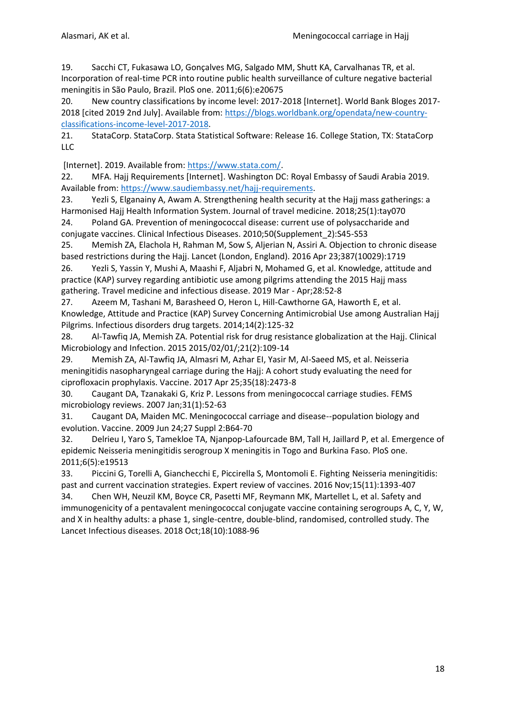19. Sacchi CT, Fukasawa LO, Gonçalves MG, Salgado MM, Shutt KA, Carvalhanas TR, et al. Incorporation of real-time PCR into routine public health surveillance of culture negative bacterial meningitis in São Paulo, Brazil. PloS one. 2011;6(6):e20675

20. New country classifications by income level: 2017-2018 [Internet]. World Bank Bloges 2017 2018 [cited 2019 2nd July]. Available from: [https://blogs.worldbank.org/opendata/new-country](https://blogs.worldbank.org/opendata/new-country-classifications-income-level-2017-2018)[classifications-income-level-2017-2018.](https://blogs.worldbank.org/opendata/new-country-classifications-income-level-2017-2018)

21. StataCorp. StataCorp. Stata Statistical Software: Release 16. College Station, TX: StataCorp LLC

[Internet]. 2019. Available from: [https://www.stata.com/.](https://www.stata.com/)

22. MFA. Hajj Requirements [Internet]. Washington DC: Royal Embassy of Saudi Arabia 2019. Available from: [https://www.saudiembassy.net/hajj-requirements.](https://www.saudiembassy.net/hajj-requirements)

23. Yezli S, Elganainy A, Awam A. Strengthening health security at the Hajj mass gatherings: a Harmonised Hajj Health Information System. Journal of travel medicine. 2018;25(1):tay070 24. Poland GA. Prevention of meningococcal disease: current use of polysaccharide and

conjugate vaccines. Clinical Infectious Diseases. 2010;50(Supplement\_2):S45-S53

25. Memish ZA, Elachola H, Rahman M, Sow S, Aljerian N, Assiri A. Objection to chronic disease based restrictions during the Hajj. Lancet (London, England). 2016 Apr 23;387(10029):1719

26. Yezli S, Yassin Y, Mushi A, Maashi F, Aljabri N, Mohamed G, et al. Knowledge, attitude and practice (KAP) survey regarding antibiotic use among pilgrims attending the 2015 Hajj mass gathering. Travel medicine and infectious disease. 2019 Mar - Apr;28:52-8

27. Azeem M, Tashani M, Barasheed O, Heron L, Hill-Cawthorne GA, Haworth E, et al. Knowledge, Attitude and Practice (KAP) Survey Concerning Antimicrobial Use among Australian Hajj Pilgrims. Infectious disorders drug targets. 2014;14(2):125-32

28. Al-Tawfiq JA, Memish ZA. Potential risk for drug resistance globalization at the Hajj. Clinical Microbiology and Infection. 2015 2015/02/01/;21(2):109-14

29. Memish ZA, Al-Tawfiq JA, Almasri M, Azhar EI, Yasir M, Al-Saeed MS, et al. Neisseria meningitidis nasopharyngeal carriage during the Hajj: A cohort study evaluating the need for ciprofloxacin prophylaxis. Vaccine. 2017 Apr 25;35(18):2473-8

30. Caugant DA, Tzanakaki G, Kriz P. Lessons from meningococcal carriage studies. FEMS microbiology reviews. 2007 Jan;31(1):52-63

31. Caugant DA, Maiden MC. Meningococcal carriage and disease--population biology and evolution. Vaccine. 2009 Jun 24;27 Suppl 2:B64-70

32. Delrieu I, Yaro S, Tamekloe TA, Njanpop-Lafourcade BM, Tall H, Jaillard P, et al. Emergence of epidemic Neisseria meningitidis serogroup X meningitis in Togo and Burkina Faso. PloS one. 2011;6(5):e19513

33. Piccini G, Torelli A, Gianchecchi E, Piccirella S, Montomoli E. Fighting Neisseria meningitidis: past and current vaccination strategies. Expert review of vaccines. 2016 Nov;15(11):1393-407

34. Chen WH, Neuzil KM, Boyce CR, Pasetti MF, Reymann MK, Martellet L, et al. Safety and immunogenicity of a pentavalent meningococcal conjugate vaccine containing serogroups A, C, Y, W, and X in healthy adults: a phase 1, single-centre, double-blind, randomised, controlled study. The Lancet Infectious diseases. 2018 Oct;18(10):1088-96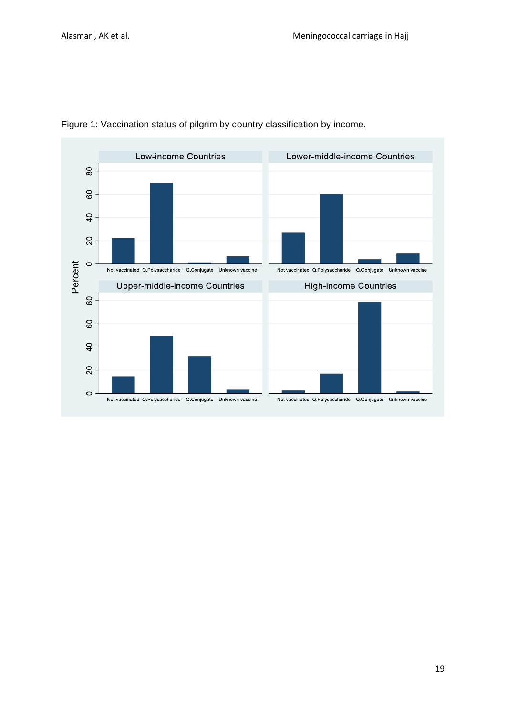

Figure 1: Vaccination status of pilgrim by country classification by income.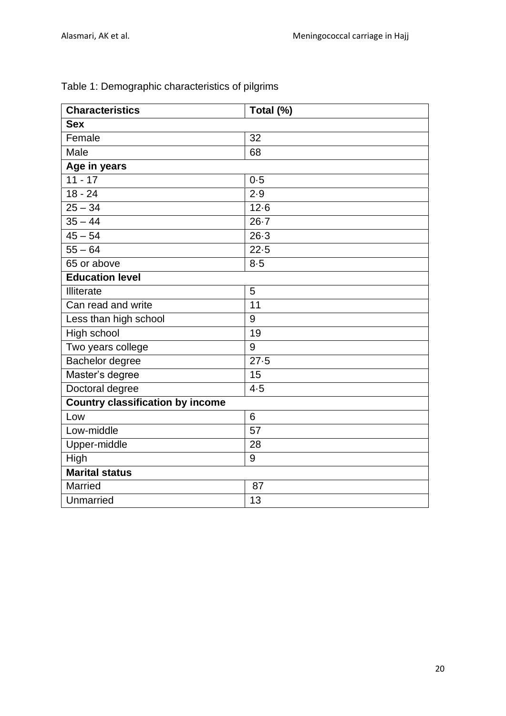| <b>Characteristics</b>                  | Total (%) |  |  |
|-----------------------------------------|-----------|--|--|
| <b>Sex</b>                              |           |  |  |
| Female                                  | 32        |  |  |
| Male                                    | 68        |  |  |
| Age in years                            |           |  |  |
| $11 - 17$                               | 0.5       |  |  |
| $18 - 24$                               | 2.9       |  |  |
| $25 - 34$                               | $12-6$    |  |  |
| $35 - 44$                               | $26 - 7$  |  |  |
| $\frac{1}{45} - 54$                     | $26-3$    |  |  |
| $55 - 64$                               | $22 - 5$  |  |  |
| 65 or above                             | $8 - 5$   |  |  |
| <b>Education level</b>                  |           |  |  |
| Illiterate                              | 5         |  |  |
| Can read and write                      | 11        |  |  |
| Less than high school                   | 9         |  |  |
| High school                             | 19        |  |  |
| Two years college                       | 9         |  |  |
| Bachelor degree                         | 27.5      |  |  |
| Master's degree                         | 15        |  |  |
| Doctoral degree                         | 4.5       |  |  |
| <b>Country classification by income</b> |           |  |  |
| Low                                     | 6         |  |  |
| Low-middle                              | 57        |  |  |
| Upper-middle                            | 28        |  |  |
| High                                    | 9         |  |  |
| <b>Marital status</b>                   |           |  |  |
| Married                                 | 87        |  |  |
| Unmarried                               | 13        |  |  |
|                                         |           |  |  |

# Table 1: Demographic characteristics of pilgrims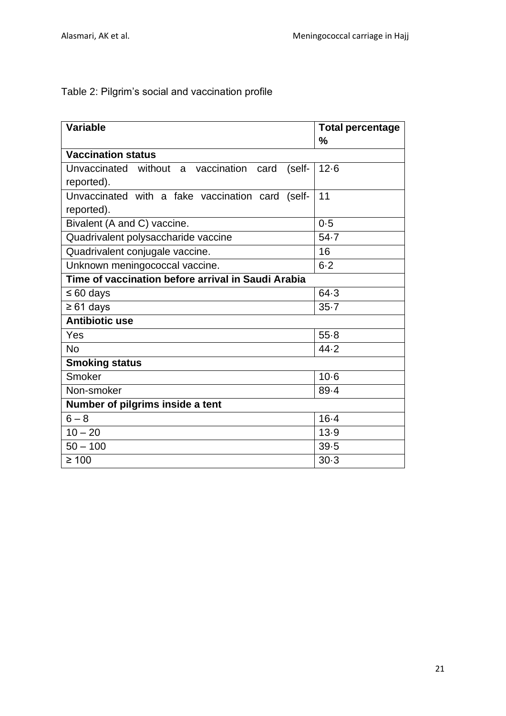Table 2: Pilgrim's social and vaccination profile

| <b>Variable</b>                                        | <b>Total percentage</b><br>$\frac{0}{0}$ |  |  |  |
|--------------------------------------------------------|------------------------------------------|--|--|--|
| <b>Vaccination status</b>                              |                                          |  |  |  |
| Unvaccinated without a vaccination card<br>$(self - )$ | $12 - 6$                                 |  |  |  |
| reported).                                             |                                          |  |  |  |
| Unvaccinated with a fake vaccination card (self-       | 11                                       |  |  |  |
| reported).                                             |                                          |  |  |  |
| Bivalent (A and C) vaccine.                            | 0.5                                      |  |  |  |
| Quadrivalent polysaccharide vaccine                    | 54.7                                     |  |  |  |
| Quadrivalent conjugale vaccine.                        | 16                                       |  |  |  |
| Unknown meningococcal vaccine.                         | $6 - 2$                                  |  |  |  |
| Time of vaccination before arrival in Saudi Arabia     |                                          |  |  |  |
| $\leq 60$ days                                         | 64.3                                     |  |  |  |
| $\geq 61$ days                                         | $35 - 7$                                 |  |  |  |
| <b>Antibiotic use</b>                                  |                                          |  |  |  |
| Yes                                                    | $55 - 8$                                 |  |  |  |
| <b>No</b>                                              | 44.2                                     |  |  |  |
| <b>Smoking status</b>                                  |                                          |  |  |  |
| Smoker                                                 | $10-6$                                   |  |  |  |
| Non-smoker                                             | 89.4                                     |  |  |  |
| Number of pilgrims inside a tent                       |                                          |  |  |  |
| $6 - 8$                                                | $16 - 4$                                 |  |  |  |
| $10 - 20$                                              | 13.9                                     |  |  |  |
| $50 - 100$                                             | 39.5                                     |  |  |  |
| $\geq 100$                                             | $30-3$                                   |  |  |  |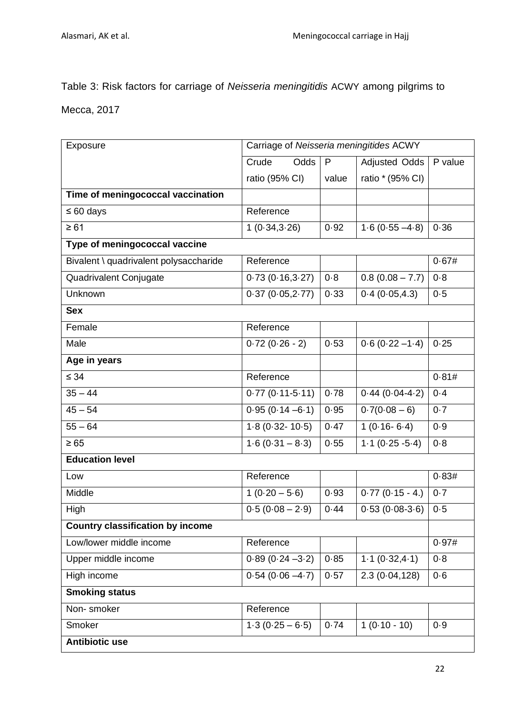Table 3: Risk factors for carriage of *Neisseria meningitidis* ACWY among pilgrims to

Mecca, 2017

| Exposure                                | Carriage of Neisseria meningitides ACWY |       |                      |         |
|-----------------------------------------|-----------------------------------------|-------|----------------------|---------|
|                                         | Crude<br>Odds                           | P     | <b>Adjusted Odds</b> | P value |
|                                         | ratio (95% CI)                          | value | ratio * (95% CI)     |         |
| Time of meningococcal vaccination       |                                         |       |                      |         |
| $\leq 60$ days                          | Reference                               |       |                      |         |
| $\geq 61$                               | 1(0.34, 3.26)                           | 0.92  | $1.6(0.55 - 4.8)$    | 0.36    |
| Type of meningococcal vaccine           |                                         |       |                      |         |
| Bivalent \ quadrivalent polysaccharide  | Reference                               |       |                      | 0.67#   |
| Quadrivalent Conjugate                  | 0.73(0.16, 3.27)                        | 0.8   | $0.8(0.08 - 7.7)$    | 0.8     |
| Unknown                                 | 0.37(0.05,2.77)                         | 0.33  | 0.4(0.05, 4.3)       | 0.5     |
| <b>Sex</b>                              |                                         |       |                      |         |
| Female                                  | Reference                               |       |                      |         |
| Male                                    | $0.72(0.26 - 2)$                        | 0.53  | $0.6(0.22 - 1.4)$    | 0.25    |
| Age in years                            |                                         |       |                      |         |
| $\leq 34$                               | Reference                               |       |                      | 0.81#   |
| $35 - 44$                               | $0.77(0.11-5.11)$                       | 0.78  | $0.44(0.04-4.2)$     | $0 - 4$ |
| $45 - 54$                               | $0.95(0.14 - 6.1)$                      | 0.95  | $0.7(0.08 - 6)$      | 0.7     |
| $55 - 64$                               | $1.8(0.32 - 10.5)$                      | 0.47  | $1(0.16-6.4)$        | 0.9     |
| $\geq 65$                               | $1.6(0.31 - 8.3)$                       | 0.55  | $1.1(0.25 - 5.4)$    | 0.8     |
| <b>Education level</b>                  |                                         |       |                      |         |
| Low                                     | Reference                               |       |                      | 0.83#   |
| Middle                                  | $\overline{1}$ (0.20 – 5.6)             | 0.93  | $0.77(0.15 - 4.)$    | $0 - 7$ |
| High                                    | $0.5(0.08 - 2.9)$                       | 0.44  | $0.53(0.08-3.6)$     | 0.5     |
| <b>Country classification by income</b> |                                         |       |                      |         |
| Low/lower middle income                 | Reference                               |       |                      | 0.97#   |
| Upper middle income                     | $0.89(0.24 - 3.2)$                      | 0.85  | 1.1(0.32, 4.1)       | $0 - 8$ |
| High income                             | $0.54(0.06 - 4.7)$                      | 0.57  | 2.3(0.04, 128)       | 0.6     |
| <b>Smoking status</b>                   |                                         |       |                      |         |
| Non-smoker                              | Reference                               |       |                      |         |
| Smoker                                  | $1.3(0.25 - 6.5)$                       | 0.74  | $1(0.10 - 10)$       | 0.9     |
| <b>Antibiotic use</b>                   |                                         |       |                      |         |